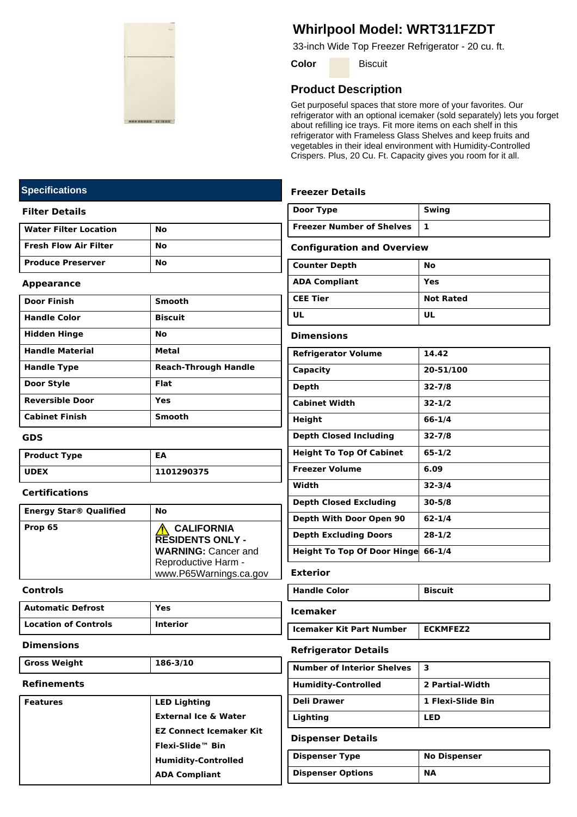

# **Whirlpool Model: WRT311FZDT**

33-inch Wide Top Freezer Refrigerator - 20 cu. ft.

**Color** Biscuit

# **Product Description**

Get purposeful spaces that store more of your favorites. Our refrigerator with an optional icemaker (sold separately) lets you forget about refilling ice trays. Fit more items on each shelf in this refrigerator with Frameless Glass Shelves and keep fruits and vegetables in their ideal environment with Humidity-Controlled Crispers. Plus, 20 Cu. Ft. Capacity gives you room for it all.

# **Freezer Details**

| Door Type                 | Swing |
|---------------------------|-------|
| Freezer Number of Shelves |       |

### **Configuration and Overview**

| Counter Depth        | No               |
|----------------------|------------------|
| <b>ADA Compliant</b> | Yes              |
| <b>CEE Tier</b>      | <b>Not Rated</b> |
| UL                   | UL               |

# **Dimensions**

| <b>Refrigerator Volume</b>          | 14.42      |
|-------------------------------------|------------|
| Capacity                            | 20-51/100  |
| Depth                               | $32 - 7/8$ |
| <b>Cabinet Width</b>                | $32 - 1/2$ |
| Height                              | 66-1/4     |
| <b>Depth Closed Including</b>       | $32 - 7/8$ |
| <b>Height To Top Of Cabinet</b>     | $65 - 1/2$ |
| <b>Freezer Volume</b>               | 6.09       |
| Width                               | $32 - 3/4$ |
| <b>Depth Closed Excluding</b>       | $30 - 5/8$ |
| Depth With Door Open 90             | 62-1/4     |
| <b>Depth Excluding Doors</b>        | $28 - 1/2$ |
| <b>Height To Top Of Door Hingel</b> | $66 - 1/4$ |

### **Exterior**

| <b>Handle Color</b> | <b>Biscuit</b> |
|---------------------|----------------|
|                     |                |

### **Icemaker**

**Icemaker Kit Part Number** | **ECKMFEZ2** 

# **Refrigerator Details**

| <b>Number of Interior Shelves</b> | з                 |
|-----------------------------------|-------------------|
| <b>Humidity-Controlled</b>        | 2 Partial-Width   |
| <b>Deli Drawer</b>                | 1 Flexi-Slide Bin |
| Lighting                          | LED               |

### **Dispenser Details**

| Dispenser Type    | <b>No Dispenser</b> |
|-------------------|---------------------|
| Dispenser Options | <b>NA</b>           |

# **Specifications**

### **Filter Details**

| <b>Water Filter Location</b> | No |
|------------------------------|----|
| <b>Fresh Flow Air Filter</b> | No |
| <b>Produce Preserver</b>     | Nο |

### **Appearance**

| <b>Door Finish</b>     | <b>Smooth</b>               |
|------------------------|-----------------------------|
| <b>Handle Color</b>    | <b>Biscuit</b>              |
| <b>Hidden Hinge</b>    | Nο                          |
| <b>Handle Material</b> | Metal                       |
| <b>Handle Type</b>     | <b>Reach-Through Handle</b> |
| Door Style             | Flat                        |
| <b>Reversible Door</b> | Yes                         |
| <b>Cabinet Finish</b>  | <b>Smooth</b>               |

## **GDS**

| <b>Product Type</b> | EΑ         |
|---------------------|------------|
| l UDEX              | 1101290375 |

## **Certifications**

| <b>Energy Star® Qualified</b> | No                                                                                                                          |
|-------------------------------|-----------------------------------------------------------------------------------------------------------------------------|
| Prop 65                       | <b>CALIFORNIA</b><br><b>RESIDENTS ONLY -</b><br><b>WARNING: Cancer and</b><br>Reproductive Harm -<br>www.P65Warnings.ca.gov |

### **Controls**

| l Automatic Defrost  | Yes             |
|----------------------|-----------------|
| Location of Controls | <b>Interior</b> |

#### **Dimensions**

**Gross Weight 186-3/10**

# **Refinements**

| <b>Features</b> | <b>LED Lighting</b>             |
|-----------------|---------------------------------|
|                 | <b>External Ice &amp; Water</b> |
|                 | <b>EZ Connect Icemaker Kit</b>  |
|                 | Flexi-Slide™ Bin                |
|                 | <b>Humidity-Controlled</b>      |
|                 | <b>ADA Compliant</b>            |